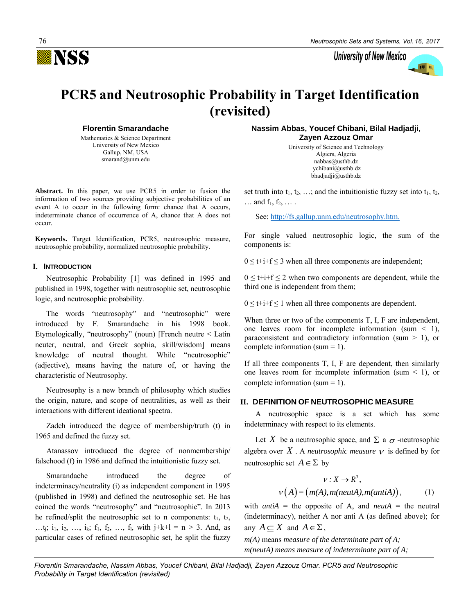

University of New Mexico



# **PCR5 and Neutrosophic Probability in Target Identification (revisited)**

**Florentin Smarandache**

Mathematics & Science Department University of New Mexico Gallup, NM, USA smarand@unm.edu

**Abstract.** In this paper, we use PCR5 in order to fusion the information of two sources providing subjective probabilities of an event A to occur in the following form: chance that A occurs, indeterminate chance of occurrence of A, chance that A does not occur.

**Keywords.** Target Identification, PCR5, neutrosophic measure, neutrosophic probability, normalized neutrosophic probability*.*

## **I. INTRODUCTION**

Neutrosophic Probability [1] was defined in 1995 and published in 1998, together with neutrosophic set, neutrosophic logic, and neutrosophic probability.

The words "neutrosophy" and "neutrosophic" were introduced by F. Smarandache in his 1998 book. Etymologically, "neutrosophy" (noun) [French neutre < Latin neuter, neutral, and Greek sophia, skill/wisdom] means knowledge of neutral thought. While "neutrosophic" (adjective), means having the nature of, or having the characteristic of Neutrosophy.

Neutrosophy is a new branch of philosophy which studies the origin, nature, and scope of neutralities, as well as their interactions with different ideational spectra.

Zadeh introduced the degree of membership/truth (t) in 1965 and defined the fuzzy set.

Atanassov introduced the degree of nonmembership/ falsehood (f) in 1986 and defined the intuitionistic fuzzy set.

Smarandache introduced the degree of indeterminacy/neutrality (i) as independent component in 1995 (published in 1998) and defined the neutrosophic set. He has coined the words "neutrosophy" and "neutrosophic". In 2013 he refined/split the neutrosophic set to n components:  $t_1$ ,  $t_2$ , …t<sub>i</sub>; i<sub>1</sub>, i<sub>2</sub>, …, i<sub>k</sub>; f<sub>1</sub>, f<sub>2</sub>, …, f<sub>1</sub>, with j+k+l = n > 3. And, as particular cases of refined neutrosophic set, he split the fuzzy

**Nassim Abbas, Youcef Chibani, Bilal Hadjadji, Zayen Azzouz Omar**

> University of Science and Technology Algiers, Algeria nabbas@usthb.dz ychibani@usthb.dz bhadjadji@usthb.dz

set truth into  $t_1, t_2, \ldots$ ; and the intuitionistic fuzzy set into  $t_1, t_2$ ,  $\ldots$  and  $f_1, f_2, \ldots$ .

See: [http://fs.gallup.unm.edu/neutrosophy.htm.](http://fs.gallup.unm.edu/neutrosophy.htm)

For single valued neutrosophic logic, the sum of the components is:

 $0 \le t + i + f \le 3$  when all three components are independent;

 $0 \leq t + i + f \leq 2$  when two components are dependent, while the third one is independent from them;

 $0 \leq t + i + f \leq 1$  when all three components are dependent.

When three or two of the components T, I, F are independent, one leaves room for incomplete information (sum  $\leq$  1), paraconsistent and contradictory information (sum  $> 1$ ), or complete information (sum = 1).

If all three components T, I, F are dependent, then similarly one leaves room for incomplete information (sum  $\leq$  1), or complete information (sum = 1).

# **II. DEFINITION OF NEUTROSOPHIC MEASURE**

A neutrosophic space is a set which has some indeterminacy with respect to its elements.

Let X be a neutrosophic space, and  $\Sigma$  a  $\sigma$ -neutrosophic algebra over  $X$  . A *neutrosophic measure*  $\nu$  is defined by for neutrosophic set  $A \in \Sigma$  by

$$
v: X \to R^{3},
$$
  

$$
v(A) = (m(A), m(neutA), m(antiA)),
$$
 (1)

with *antiA* = the opposite of A, and *neutA* = the neutral (indeterminacy), neither A nor anti A (as defined above); for any  $A \subseteq X$  and  $A \in \Sigma$ ,

*m(A)* means *measure of the determinate part of A; m(neutA) means measure of indeterminate part of A;*

*Florentin Smarandache, Nassim Abbas, Youcef Chibani, Bilal Hadjadji, Zayen Azzouz Omar. PCR5 and Neutrosophic Probability in Target Identification (revisited)*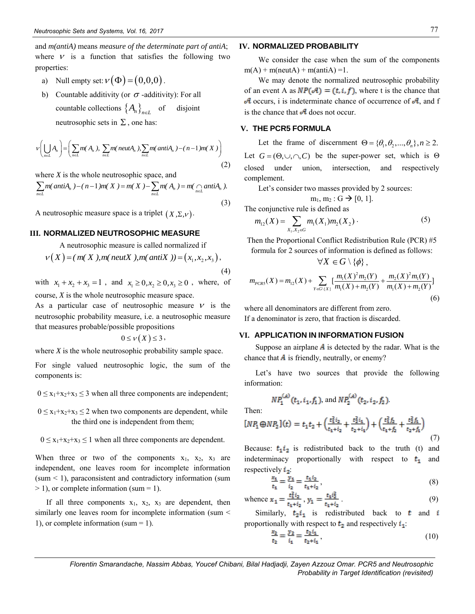and *m(antiA)* means *measure of the determinate part of antiA*; where  $V$  is a function that satisfies the following two properties:

- a) Null empty set:  $v(\Phi) = (0, 0, 0)$ .
- b) Countable additivity (or  $\sigma$  -additivity): For all countable collections  $\left\{A_n\right\}_{n\in L}$ disjoint neutrosophic sets in  $\Sigma$ , one has:

neutrosophic sets in 
$$
\Sigma
$$
, one has:  
\n
$$
v\left(\bigcup_{n\in L} A_n\right) = \left(\sum_{n\in L} m(A_n), \sum_{n\in L} m(\text{neut}A_n), \sum_{n\in L} m(\text{anti}A_n) - (n-1)m(X)\right)
$$
\n
$$
L\xi
$$
\n(2)

where *X* is the whole neutrosophic space, and

where 
$$
X
$$
 is the whole neutrosophic space, and  
\n
$$
\sum_{n\in L} m(\text{anti}A_n) - (n-1)m(X) = m(X) - \sum_{n\in L} m(A_n) = m(\bigcap_{n\in L} \text{anti}A_n).
$$
\n(2)

A neutrosophic measure space is a triplet  $(X, \Sigma, \nu)$ .

A neutrosophic measure is called normalized if

**III. NORMALIZED NEUTROSOPHIC MEASURE**  
\nA neutrosophic measure is called normalized if  
\n
$$
v(X) = (m(X), m(\text{neutX}), m(\text{antiX})) = (x_1, x_2, x_3),
$$
\n(4)

with  $x_1 + x_2 + x_3 = 1$ , and  $x_1 \ge 0, x_2 \ge 0, x_3 \ge 0$ , where, of course, *X* is the whole neutrosophic measure space.

As a particular case of neutrosophic measure  $V$  is the neutrosophic probability measure, i.e. a neutrosophic measure that measures probable/possible propositions

$$
0\leq v(X)\leq 3,
$$

where *X* is the whole neutrosophic probability sample space.

For single valued neutrosophic logic, the sum of the components is:

 $0 \le x_1+x_2+x_3 \le 3$  when all three components are independent;

 $0 \leq x_1+x_2+x_3 \leq 2$  when two components are dependent, while the third one is independent from them;

 $0 \le x_1+x_2+x_3 \le 1$  when all three components are dependent.

When three or two of the components  $x_1$ ,  $x_2$ ,  $x_3$  are independent, one leaves room for incomplete information  $(sum < 1)$ , paraconsistent and contradictory information (sum  $> 1$ ), or complete information (sum = 1).

If all three components  $x_1$ ,  $x_2$ ,  $x_3$  are dependent, then similarly one leaves room for incomplete information (sum < 1), or complete information (sum  $= 1$ ).

# **IV. NORMALIZED PROBABILITY**

We consider the case when the sum of the components  $m(A)$  + m(neutA) + m(antiA) = 1.

We may denote the normalized neutrosophic probability of an event A as  $NP(\mathcal{A}) = (t, i, f)$ , where t is the chance that  $\mathcal A$  occurs, i is indeterminate chance of occurrence of  $\mathcal A$ , and f is the chance that  $\mathcal A$  does not occur.

# **V. THE PCR5 FORMULA**

Let the frame of discernment  $\Theta = {\theta_1, \theta_2, ..., \theta_n}, n \ge 2$ . Let  $G = (\Theta, \cup, \cap, C)$  be the super-power set, which is  $\Theta$ closed under union, intersection, and respectively complement.

Let's consider two masses provided by 2 sources:

$$
m_1, m_2: G \rightarrow [0, 1].
$$

The conjunctive rule is defined as  
\n
$$
m_{12}(X) = \sum_{X_1, X_2 \in G} m_1(X_1) m_2(X_2)
$$
\n(5)

Then the Proportional Conflict Redistribution Rule (PCR) #5 formula for 2 sources of information is defined as follows:

$$
\forall X \in G \setminus \{\phi\},\
$$

$$
\forall X \in G \setminus \{ \phi \},
$$
  

$$
m_{PCRS}(X) = m_{12}(X) + \sum_{Y \in G \setminus \{ X \}} \left[ \frac{m_1(X)^2 m_2(Y)}{m_1(X) + m_2(Y)} + \frac{m_2(X)^2 m_1(Y)}{m_1(X) + m_2(Y)} \right]
$$
  
(6)

where all denominators are different from zero. If a denominator is zero, that fraction is discarded.

# **VI. APPLICATION IN INFORMATION FUSION**

Suppose an airplane  $\vec{A}$  is detected by the radar. What is the chance that  $\vec{A}$  is friendly, neutrally, or enemy?

Let's have two sources that provide the following information:

$$
NP_1^{(A)}(t_1, i_1, f_1), \text{ and } NP_2^{(A)}(t_2, i_2, f_2)
$$

Then:

$$
[NP_1 \oplus NP_2](t) = t_1 t_2 + \left(\frac{t_1^2 i_2}{t_1 + i_2} + \frac{t_2^2 i_1}{t_2 + i_1}\right) + \left(\frac{t_1^2 f_2}{t_1 + f_2} + \frac{t_2^2 f_1}{t_2 + f_1}\right)
$$
(7)

Because:  $t_1 i_2$  is redistributed back to the truth (t) and indeterminacy proportionally with respect to  $t_1$  and respectively  $i_2$ :

$$
\frac{x_1}{t_1} = \frac{y_1}{i_2} = \frac{t_1 i_2}{t_1 + i_2},\tag{8}
$$

whence 
$$
\mathbf{x}_1 = \frac{t_1^2 i_2}{t_1 + i_2}, \mathbf{y}_1 = \frac{t_1 i_2^2}{t_1 + i_2}
$$
 (9)

Similarly,  $t_2 i_1$  is redistributed back to **t** and **i** proportionally with respect to  $t_2$  and respectively  $i_1$ :

$$
\frac{x_2}{t_2} = \frac{y_2}{i_1} = \frac{t_2 i_1}{t_2 + i_1},\tag{10}
$$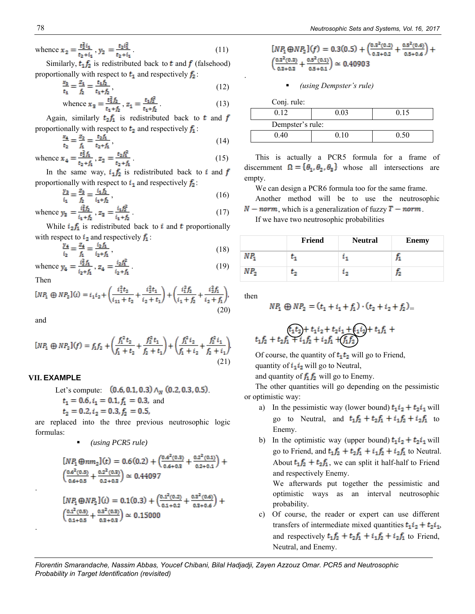whence 
$$
\mathbf{x}_2 = \frac{t_2^2 i_1}{t_2 + i_1}
$$
,  $y_2 = \frac{t_2 i_1^2}{t_2 + i_1}$ . (11)

Similarly,  $t_1 f_2$  is redistributed back to t and f (falsehood) proportionally with respect to  $t_1$  and respectively  $f_2$ :

$$
\frac{x_3}{t_1} = \frac{z_1}{f_2} = \frac{t_1 f_2}{t_1 + f_2},\tag{12}
$$

whence 
$$
\mathbf{x}_3 = \frac{t_1^2 f_2}{t_1 + f_2}
$$
,  $z_1 = \frac{t_1 f_2^2}{t_1 + f_2}$ . (13)

Again, similarly  $t_2 f_1$  is redistributed back to **t** and f proportionally with respect to  $t_2$  and respectively  $f_1$ :

$$
\frac{x_4}{t_2} = \frac{z_2}{f_1} = \frac{t_2 f_1}{t_2 + f_1},\tag{14}
$$

whence 
$$
x_4 = \frac{t_2^2 f_1}{t_2 + f_1}
$$
,  $z_2 = \frac{t_2 f_1^2}{t_2 + f_1}$ . (15)

In the same way,  $i_1 f_2$  is redistributed back to i and f proportionally with respect to  $i_1$  and respectively  $f_2$ :

$$
\frac{y_3}{i_1} = \frac{z_3}{f_2} = \frac{i_1 f_2}{i_1 + f_2},\tag{16}
$$

whence 
$$
y_3 = \frac{i_1^2 f_2}{i_1 + f_2}
$$
,  $z_3 = \frac{i_1 f_2^2}{i_1 + f_2}$ . (17)

While  $i_2 f_1$  is redistributed back to i and t proportionally with respect to  $i_2$  and respectively  $f_1$ :

$$
\frac{y_4}{i_2} = \frac{z_4}{f_1} = \frac{i_2 f_1}{i_2 + f_1},\tag{18}
$$

whence 
$$
y_4 = \frac{i_2^2 f_1}{i_2 + f_1}
$$
,  $z_4 = \frac{i_2 f_1^2}{i_2 + f_1}$ . (19)

Then

$$
[NP_1 \oplus NP_2](i) = i_1 i_2 + \left(\frac{i_1^2 t_2}{i_{11} + t_2} + \frac{i_2^2 t_1}{i_2 + t_1}\right) + \left(\frac{i_1^2 f_2}{i_1 + f_2} + \frac{i_2^2 f_1}{i_2 + f_1}\right),\tag{20}
$$

and

.

.

$$
[NP_1 \oplus NP_2](f) = f_1 f_2 + \left(\frac{f_1^2 t_2}{f_1 + t_2} + \frac{f_2^2 t_1}{f_2 + t_1}\right) + \left(\frac{f_1^2 t_2}{f_1 + t_2} + \frac{f_2^2 t_1}{f_2 + t_1}\right)
$$
\n(21)

# **VII. EXAMPLE**

```
Let's compute (0.6, 0.1, 0.3) \wedge_{N} (0.2, 0.3, 0.5)t_1 = 0.6, i_1 = 0.1, f_1 = 0.3, and
t_2 = 0.2, i_2 = 0.3, f_2 = 0.5,
```
are replaced into the three previous neutrosophic logic formulas:

```
▪ (using PCR5 rule)
```

$$
[NP_1 \oplus nm_2](t) = 0.6(0.2) + \left(\frac{0.6^2(0.3)}{0.6+0.3} + \frac{0.2^2(0.1)}{0.2+0.1}\right) +
$$
  

$$
\left(\frac{0.6^2(0.5)}{0.6+0.5} + \frac{0.2^2(0.3)}{0.2+0.3}\right) \approx 0.44097
$$
  

$$
[NP_1 \oplus NP_2](i) = 0.1(0.3) + \left(\frac{0.1^2(0.2)}{0.4+0.3} + \frac{0.3^2(0.6)}{0.2+0.3}\right) +
$$

$$
\left(\frac{0.1^2(0.5)}{0.1+0.5} + \frac{0.3^2(0.3)}{0.3+0.3}\right) \simeq 0.15000
$$

$$
[NP1 \oplus NP2](f) = 0.3(0.5) + \left(\frac{0.3^{2}(0.2)}{0.3+0.2} + \frac{0.5^{2}(0.6)}{0.5+0.6}\right) + \left(\frac{0.3^{2}(0.3)}{0.3+0.3} + \frac{0.5^{2}(0.1)}{0.5+0.4}\right) \approx 0.40903
$$

▪ *(using Dempster's rule)*

Conj. rule: 0.12 0.03 0.15 Dempster's rule: 0.40 0.10 0.50

This is actually a PCR5 formula for a frame of discernment  $\mathbf{\Omega} = {\theta_1, \theta_2, \theta_3}$  whose all intersections are empty.

We can design a PCR6 formula too for the same frame.

Another method will be to use the neutrosophic  $N - norm$ , which is a generalization of fuzzy  $T - norm$ .

If we have two neutrosophic probabilities

|      | Friend | <b>Neutral</b> | <b>Enemy</b> |
|------|--------|----------------|--------------|
| N P. |        |                |              |
| NP.  |        | ۰              |              |

then

.

$$
NP_1 \oplus NP_2 = (t_1 + i_1 + f_1) \cdot (t_2 + i_2 + f_2) =
$$

$$
\begin{array}{c}\n\text{(t_1t_2)} + t_1 i_2 + t_2 i_1 + \text{(t_1t_2)} + t_1 f_1 + \\ \nt_1 f_2 + t_2 f_1 + i_1 f_2 + i_2 f_1 + \text{(f_1f_2)}\n\end{array}
$$

Of course, the quantity of  $t_1 t_2$  will go to Friend, quantity of  $i_1 i_2$  will go to Neutral,

and quantity of  $f_1 f_2$  will go to Enemy.

The other quantities will go depending on the pessimistic or optimistic way:

- a) In the pessimistic way (lower bound)  $t_1 i_2 + t_2 i_1$  will go to Neutral, and  $t_1 f_2 + t_2 f_1 + i_1 f_2 + i_2 f_1$  to Enemy.
- b) In the optimistic way (upper bound)  $t_1 i_2 + t_2 i_1$  will go to Friend, and  $t_1 f_2 + t_2 f_1 + i_1 f_2 + i_2 f_1$  to Neutral. About  $t_1 f_2 + t_2 f_1$ , we can split it half-half to Friend and respectively Enemy.

We afterwards put together the pessimistic and optimistic ways as an interval neutrosophic probability.

c) Of course, the reader or expert can use different transfers of intermediate mixed quantities  $t_1 i_2 + t_2 i_1$ , and respectively  $t_1 f_2 + t_2 f_1 + i_1 f_2 + i_2 f_1$  to Friend, Neutral, and Enemy.

*Florentin Smarandache, Nassim Abbas, Youcef Chibani, Bilal Hadjadji, Zayen Azzouz Omar. PCR5 and Neutrosophic Probability in Target Identification (revisited)*